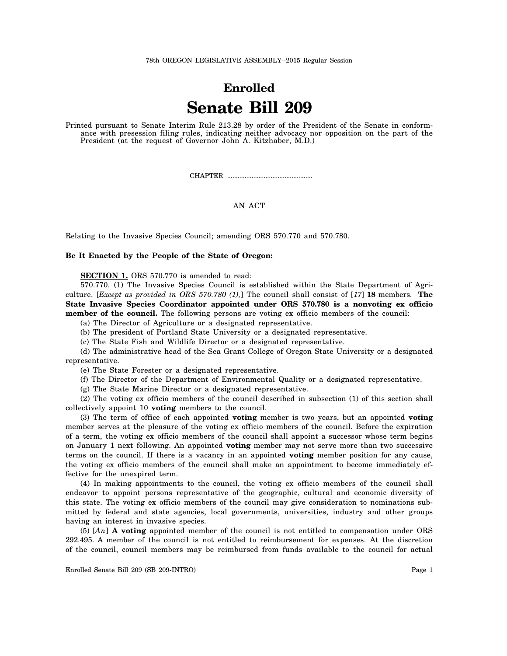## **Enrolled Senate Bill 209**

Printed pursuant to Senate Interim Rule 213.28 by order of the President of the Senate in conformance with presession filing rules, indicating neither advocacy nor opposition on the part of the President (at the request of Governor John A. Kitzhaber, M.D.)

CHAPTER .................................................

## AN ACT

Relating to the Invasive Species Council; amending ORS 570.770 and 570.780.

## **Be It Enacted by the People of the State of Oregon:**

**SECTION 1.** ORS 570.770 is amended to read:

570.770. (1) The Invasive Species Council is established within the State Department of Agriculture. [*Except as provided in ORS 570.780 (1),*] The council shall consist of [*17*] **18** members. **The State Invasive Species Coordinator appointed under ORS 570.780 is a nonvoting ex officio member of the council.** The following persons are voting ex officio members of the council:

- (a) The Director of Agriculture or a designated representative.
- (b) The president of Portland State University or a designated representative.

(c) The State Fish and Wildlife Director or a designated representative.

(d) The administrative head of the Sea Grant College of Oregon State University or a designated representative.

(e) The State Forester or a designated representative.

- (f) The Director of the Department of Environmental Quality or a designated representative.
- (g) The State Marine Director or a designated representative.

(2) The voting ex officio members of the council described in subsection (1) of this section shall collectively appoint 10 **voting** members to the council.

(3) The term of office of each appointed **voting** member is two years, but an appointed **voting** member serves at the pleasure of the voting ex officio members of the council. Before the expiration of a term, the voting ex officio members of the council shall appoint a successor whose term begins on January 1 next following. An appointed **voting** member may not serve more than two successive terms on the council. If there is a vacancy in an appointed **voting** member position for any cause, the voting ex officio members of the council shall make an appointment to become immediately effective for the unexpired term.

(4) In making appointments to the council, the voting ex officio members of the council shall endeavor to appoint persons representative of the geographic, cultural and economic diversity of this state. The voting ex officio members of the council may give consideration to nominations submitted by federal and state agencies, local governments, universities, industry and other groups having an interest in invasive species.

(5) [*An*] **A voting** appointed member of the council is not entitled to compensation under ORS 292.495. A member of the council is not entitled to reimbursement for expenses. At the discretion of the council, council members may be reimbursed from funds available to the council for actual